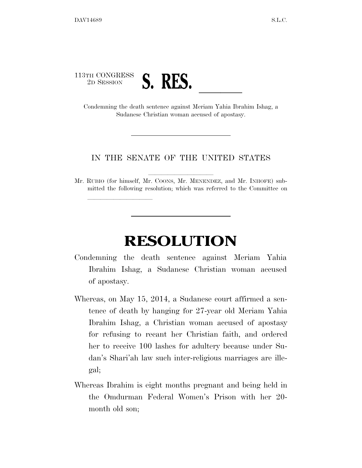

lle and a second control of the second control of the second control of the second control of the second control of the second control of the second control of the second control of the second control of the second control

Sudanese Christian woman accused of apostasy.

## IN THE SENATE OF THE UNITED STATES

Mr. RUBIO (for himself, Mr. COONS, Mr. MENENDEZ, and Mr. INHOFE) submitted the following resolution; which was referred to the Committee on

## **RESOLUTION**

- Condemning the death sentence against Meriam Yahia Ibrahim Ishag, a Sudanese Christian woman accused of apostasy.
- Whereas, on May 15, 2014, a Sudanese court affirmed a sentence of death by hanging for 27-year old Meriam Yahia Ibrahim Ishag, a Christian woman accused of apostasy for refusing to recant her Christian faith, and ordered her to receive 100 lashes for adultery because under Sudan's Shari'ah law such inter-religious marriages are illegal;
- Whereas Ibrahim is eight months pregnant and being held in the Omdurman Federal Women's Prison with her 20 month old son;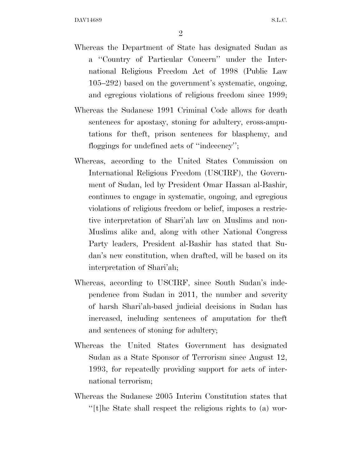- Whereas the Department of State has designated Sudan as a ''Country of Particular Concern'' under the International Religious Freedom Act of 1998 (Public Law 105–292) based on the government's systematic, ongoing, and egregious violations of religious freedom since 1999;
- Whereas the Sudanese 1991 Criminal Code allows for death sentences for apostasy, stoning for adultery, cross-amputations for theft, prison sentences for blasphemy, and floggings for undefined acts of ''indecency'';
- Whereas, according to the United States Commission on International Religious Freedom (USCIRF), the Government of Sudan, led by President Omar Hassan al-Bashir, continues to engage in systematic, ongoing, and egregious violations of religious freedom or belief, imposes a restrictive interpretation of Shari'ah law on Muslims and non-Muslims alike and, along with other National Congress Party leaders, President al-Bashir has stated that Sudan's new constitution, when drafted, will be based on its interpretation of Shari'ah;
- Whereas, according to USCIRF, since South Sudan's independence from Sudan in 2011, the number and severity of harsh Shari'ah-based judicial decisions in Sudan has increased, including sentences of amputation for theft and sentences of stoning for adultery;
- Whereas the United States Government has designated Sudan as a State Sponsor of Terrorism since August 12, 1993, for repeatedly providing support for acts of international terrorism;
- Whereas the Sudanese 2005 Interim Constitution states that ''[t]he State shall respect the religious rights to (a) wor-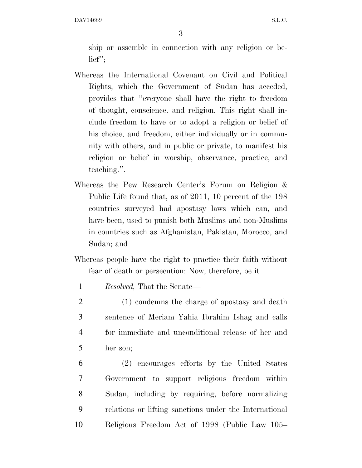ship or assemble in connection with any religion or belief'';

- Whereas the International Covenant on Civil and Political Rights, which the Government of Sudan has acceded, provides that ''everyone shall have the right to freedom of thought, conscience. and religion. This right shall include freedom to have or to adopt a religion or belief of his choice, and freedom, either individually or in community with others, and in public or private, to manifest his religion or belief in worship, observance, practice, and teaching.''.
- Whereas the Pew Research Center's Forum on Religion & Public Life found that, as of 2011, 10 percent of the 198 countries surveyed had apostasy laws which can, and have been, used to punish both Muslims and non-Muslims in countries such as Afghanistan, Pakistan, Morocco, and Sudan; and
- Whereas people have the right to practice their faith without fear of death or persecution: Now, therefore, be it
	- 1 *Resolved,* That the Senate—
- 2 (1) condemns the charge of apostasy and death 3 sentence of Meriam Yahia Ibrahim Ishag and calls 4 for immediate and unconditional release of her and 5 her son;
- 6 (2) encourages efforts by the United States 7 Government to support religious freedom within 8 Sudan, including by requiring, before normalizing 9 relations or lifting sanctions under the International 10 Religious Freedom Act of 1998 (Public Law 105–